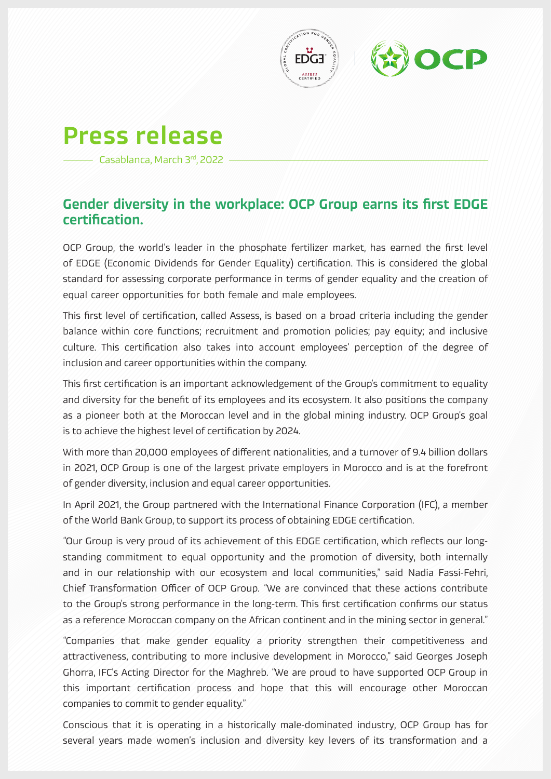



## Press release

Casablanca, March 3rd, 2022

## Gender diversity in the workplace: OCP Group earns its first EDGE certification.

OCP Group, the world's leader in the phosphate fertilizer market, has earned the first level of EDGE (Economic Dividends for Gender Equality) certification. This is considered the global standard for assessing corporate performance in terms of gender equality and the creation of equal career opportunities for both female and male employees.

This first level of certification, called Assess, is based on a broad criteria including the gender balance within core functions; recruitment and promotion policies; pay equity; and inclusive culture. This certification also takes into account employees' perception of the degree of inclusion and career opportunities within the company.

This first certification is an important acknowledgement of the Group's commitment to equality and diversity for the benefit of its employees and its ecosystem. It also positions the company as a pioneer both at the Moroccan level and in the global mining industry. OCP Group's goal is to achieve the highest level of certification by 2024.

With more than 20,000 employees of different nationalities, and a turnover of 9.4 billion dollars in 2021, OCP Group is one of the largest private employers in Morocco and is at the forefront of gender diversity, inclusion and equal career opportunities.

In April 2021, the Group partnered with the International Finance Corporation (IFC), a member of the World Bank Group, to support its process of obtaining EDGE certification.

"Our Group is very proud of its achievement of this EDGE certification, which reflects our longstanding commitment to equal opportunity and the promotion of diversity, both internally and in our relationship with our ecosystem and local communities," said Nadia Fassi-Fehri, Chief Transformation Officer of OCP Group. "We are convinced that these actions contribute to the Group's strong performance in the long-term. This first certification confirms our status as a reference Moroccan company on the African continent and in the mining sector in general."

"Companies that make gender equality a priority strengthen their competitiveness and attractiveness, contributing to more inclusive development in Morocco," said Georges Joseph Ghorra, IFC's Acting Director for the Maghreb. "We are proud to have supported OCP Group in this important certification process and hope that this will encourage other Moroccan companies to commit to gender equality."

Conscious that it is operating in a historically male-dominated industry, OCP Group has for several years made women's inclusion and diversity key levers of its transformation and a